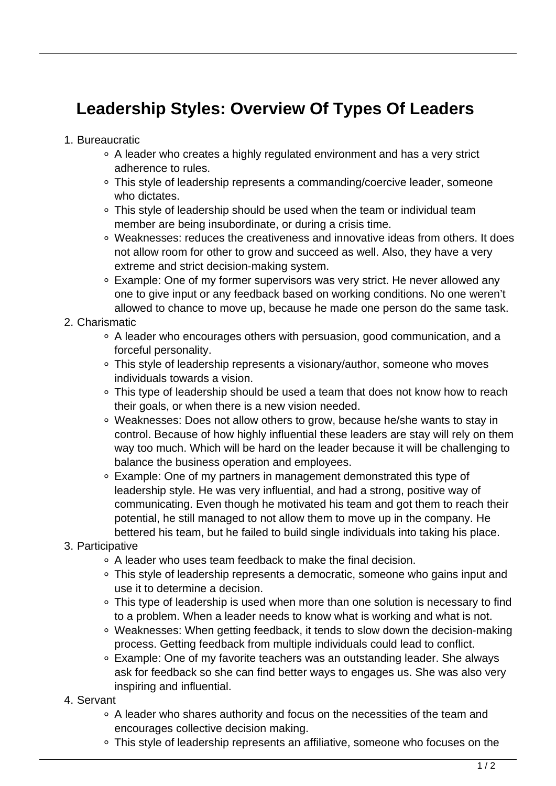## **Leadership Styles: Overview Of Types Of Leaders**

- 1. Bureaucratic
	- A leader who creates a highly regulated environment and has a very strict adherence to rules.
	- This style of leadership represents a commanding/coercive leader, someone who dictates.
	- This style of leadership should be used when the team or individual team member are being insubordinate, or during a crisis time.
	- Weaknesses: reduces the creativeness and innovative ideas from others. It does not allow room for other to grow and succeed as well. Also, they have a very extreme and strict decision-making system.
	- Example: One of my former supervisors was very strict. He never allowed any one to give input or any feedback based on working conditions. No one weren't allowed to chance to move up, because he made one person do the same task.
- 2. Charismatic
	- A leader who encourages others with persuasion, good communication, and a forceful personality.
	- This style of leadership represents a visionary/author, someone who moves individuals towards a vision.
	- This type of leadership should be used a team that does not know how to reach their goals, or when there is a new vision needed.
	- Weaknesses: Does not allow others to grow, because he/she wants to stay in control. Because of how highly influential these leaders are stay will rely on them way too much. Which will be hard on the leader because it will be challenging to balance the business operation and employees.
	- Example: One of my partners in management demonstrated this type of leadership style. He was very influential, and had a strong, positive way of communicating. Even though he motivated his team and got them to reach their potential, he still managed to not allow them to move up in the company. He bettered his team, but he failed to build single individuals into taking his place.
- 3. Participative
	- A leader who uses team feedback to make the final decision.
	- This style of leadership represents a democratic, someone who gains input and use it to determine a decision.
	- This type of leadership is used when more than one solution is necessary to find to a problem. When a leader needs to know what is working and what is not.
	- Weaknesses: When getting feedback, it tends to slow down the decision-making process. Getting feedback from multiple individuals could lead to conflict.
	- Example: One of my favorite teachers was an outstanding leader. She always ask for feedback so she can find better ways to engages us. She was also very inspiring and influential.
- 4. Servant
	- A leader who shares authority and focus on the necessities of the team and encourages collective decision making.
	- This style of leadership represents an affiliative, someone who focuses on the